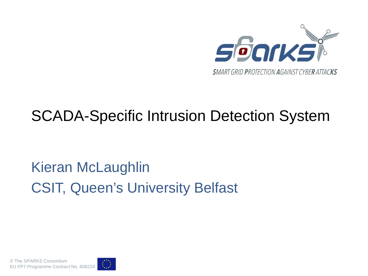

### SCADA-Specific Intrusion Detection System

# Kieran McLaughlin CSIT, Queen's University Belfast

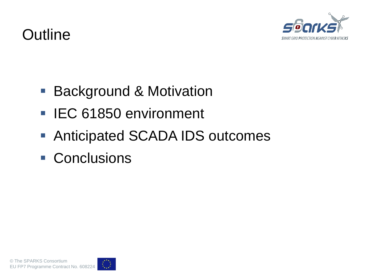

#### **Outline**

- Background & Motivation
- IEC 61850 environment
- Anticipated SCADA IDS outcomes
- Conclusions

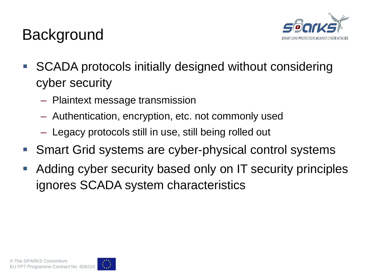

### **Background**

- SCADA protocols initially designed without considering cyber security
	- Plaintext message transmission
	- Authentication, encryption, etc. not commonly used
	- Legacy protocols still in use, still being rolled out
- Smart Grid systems are cyber-physical control systems
- Adding cyber security based only on IT security principles ignores SCADA system characteristics

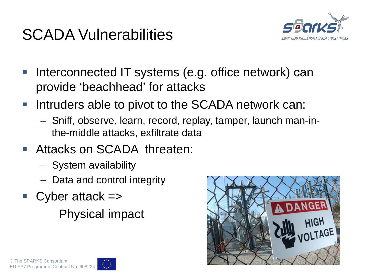### SCADA Vulnerabilities



- **Interconnected IT systems (e.g. office network) can** provide 'beachhead' for attacks
- **Intruders able to pivot to the SCADA network can:** 
	- Sniff, observe, learn, record, replay, tamper, launch man-inthe-middle attacks, exfiltrate data
- Attacks on SCADA threaten:
	- System availability
	- Data and control integrity
- $\blacksquare$  Cyber attack  $\Rightarrow$

Physical impact



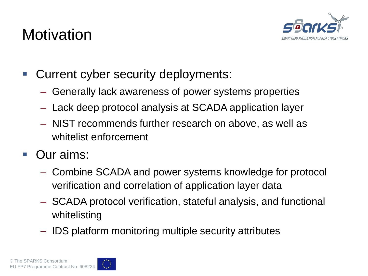### **Motivation**



- **Current cyber security deployments:** 
	- Generally lack awareness of power systems properties
	- Lack deep protocol analysis at SCADA application layer
	- NIST recommends further research on above, as well as whitelist enforcement
- Our aims:
	- Combine SCADA and power systems knowledge for protocol verification and correlation of application layer data
	- SCADA protocol verification, stateful analysis, and functional whitelisting
	- IDS platform monitoring multiple security attributes

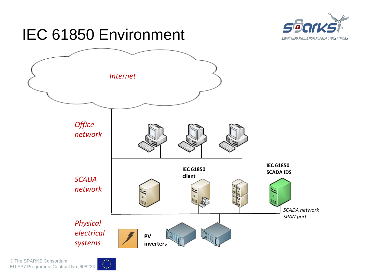

### IEC 61850 Environment



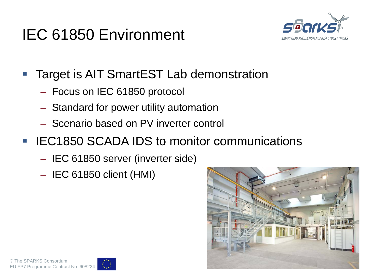# IEC 61850 Environment



- Target is AIT SmartEST Lab demonstration
	- Focus on IEC 61850 protocol
	- Standard for power utility automation
	- Scenario based on PV inverter control
- **EXTEG1850 SCADA IDS to monitor communications** 
	- IEC 61850 server (inverter side)
	- IEC 61850 client (HMI)



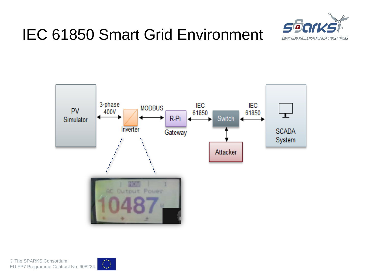





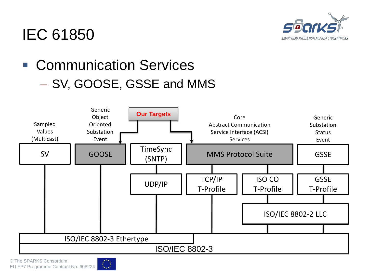

#### IEC 61850

### ■ Communication Services – SV, GOOSE, GSSE and MMS



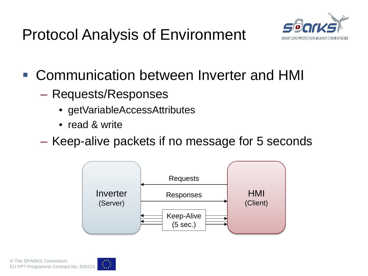Protocol Analysis of Environment



- Communication between Inverter and HMI
	- Requests/Responses
		- getVariableAccessAttributes
		- read & write
	- Keep-alive packets if no message for 5 seconds



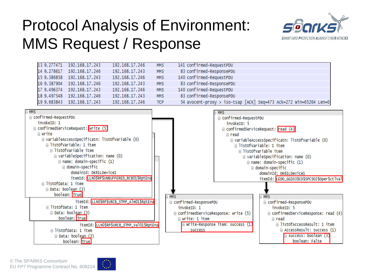# Protocol Analysis of Environment: MMS Request / Response



| 13 9.277471 192.168.17.243 | 192.168.17.246 | MMS        | 141 confirmed-RequestPDU                                          |
|----------------------------|----------------|------------|-------------------------------------------------------------------|
| 14 9.278617 192.168.17.246 | 192.168.17.243 | <b>MMS</b> | 83 confirmed-ResponsePDU                                          |
| 15 9.386858 192.168.17.243 | 192.168.17.246 | <b>MMS</b> | 140 confirmed-RequestPDU                                          |
| 16 9.387904 192.168.17.246 | 192.168.17.243 | MMS        | 83 confirmed-ResponsePDU                                          |
| 17 9.496374 192.168.17.243 | 192.168.17.246 | <b>MMS</b> | 140 confirmed-RequestPDU                                          |
| 18 9.497548 192.168.17.246 | 192.168.17.243 | <b>MMS</b> | 83 confirmed-ResponsePDU                                          |
| 19 9.683843 192.168.17.243 | 192.168.17.246 | <b>TCP</b> | 54 avocent-proxy > iso-tsap [ACK] Seq=473 Ack=272 Win=65264 Len=0 |



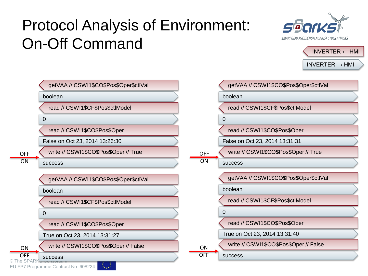# Protocol Analysis of Environment: On-Off Command





 $INVERTER \rightarrow HMI$ boolean getVAA // CSWI1\$CO\$Pos\$Oper\$ctlVal  $\Omega$ read // CSWI1\$CF\$Pos\$ctlModel False on Oct 23, 2014 13:26:30 read // CSWI1\$CO\$Pos\$Oper success write // CSWI1\$CO\$Pos\$Oper // True boolean getVAA // CSWI1\$CO\$Pos\$Oper\$ctlVal  $\Omega$ read // CSWI1\$CF\$Pos\$ctlModel boolean getVAA // CSWI1\$CO\$Pos\$Oper\$ctlVal  $\Omega$ read // CSWI1\$CF\$Pos\$ctlModel False on Oct 23, 2014 13:31:31 read // CSWI1\$CO\$Pos\$Oper success write // CSWI1\$CO\$Pos\$Oper // True boolean getVAA // CSWI1\$CO\$Pos\$Oper\$ctlVal 0 read // CSWI1\$CF\$Pos\$ctlModel OFF **ON** 

> **ON** OFF

True on Oct 23, 2014 13:31:40

success

read // CSWI1\$CO\$Pos\$Oper

write // CSWI1\$CO\$Pos\$Oper // False

read // CSWI1\$CO\$Pos\$Oper

True on Oct 23, 2014 13:31:27

write // CSWI1\$CO\$Pos\$Oper // False

success ON OFF

OFF ON

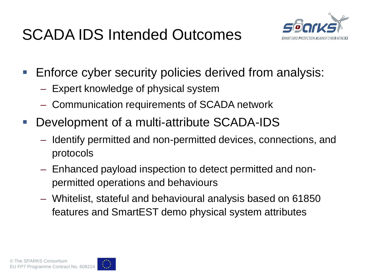# SCADA IDS Intended Outcomes



- **Enforce cyber security policies derived from analysis:** 
	- Expert knowledge of physical system
	- Communication requirements of SCADA network
- Development of a multi-attribute SCADA-IDS
	- Identify permitted and non-permitted devices, connections, and protocols
	- Enhanced payload inspection to detect permitted and nonpermitted operations and behaviours
	- Whitelist, stateful and behavioural analysis based on 61850 features and SmartEST demo physical system attributes

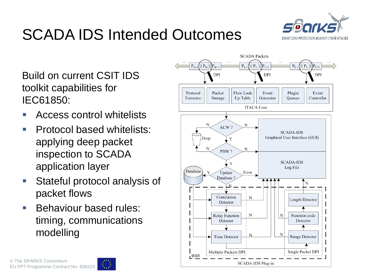

# SCADA IDS Intended Outcomes

Build on current CSIT IDS toolkit capabilities for IEC61850:

- Access control whitelists
- **Protocol based whitelists:** applying deep packet inspection to SCADA application layer
- **Stateful protocol analysis of** packet flows
- **Behaviour based rules:** timing, communications modelling





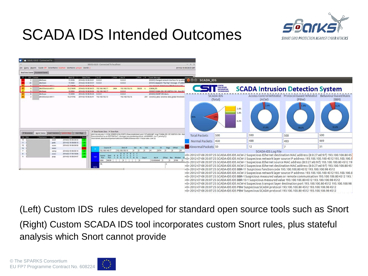

### SCADA IDS Intended Outcomes



(Left) Custom IDS rules developed for standard open source tools such as Snort (Right) Custom SCADA IDS tool incorporates custom Snort rules, plus stateful analysis which Snort cannot provide

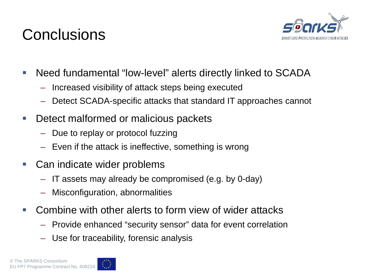### **Conclusions**



- Need fundamental "low-level" alerts directly linked to SCADA
	- Increased visibility of attack steps being executed
	- Detect SCADA-specific attacks that standard IT approaches cannot
- **Detect malformed or malicious packets** 
	- Due to replay or protocol fuzzing
	- Even if the attack is ineffective, something is wrong
- Can indicate wider problems
	- IT assets may already be compromised (e.g. by 0-day)
	- Misconfiguration, abnormalities
- **Combine with other alerts to form view of wider attacks** 
	- Provide enhanced "security sensor" data for event correlation
	- Use for traceability, forensic analysis